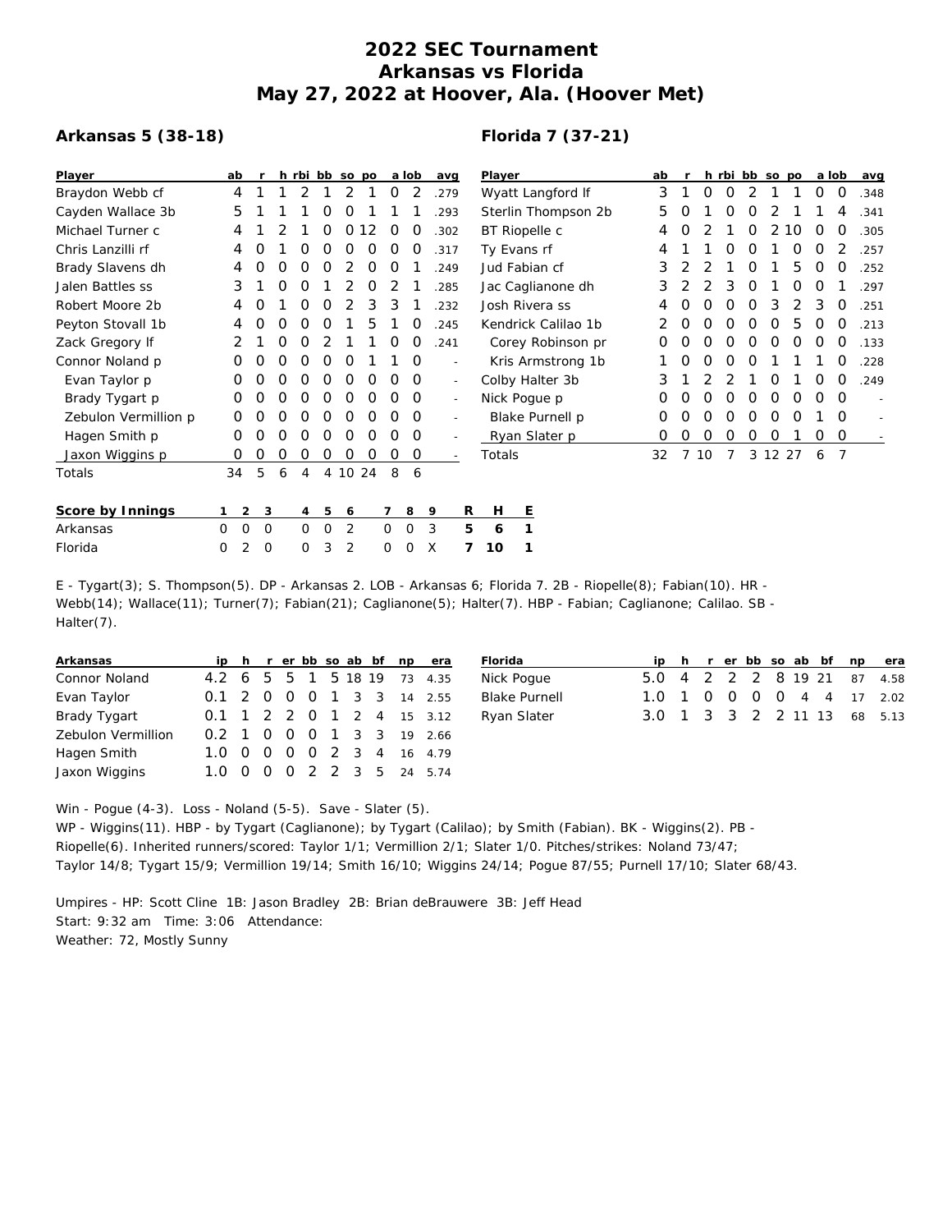## **2022 SEC Tournament Arkansas vs Florida May 27, 2022 at Hoover, Ala. (Hoover Met)**

## **Arkansas 5 (38-18)**

## **Florida 7 (37-21)**

| Player               | ab |                |   |                |         | h rbi bb so po |    |             | a lob | avg                      | Player              | ab |   |    |   |   | h rbi bb so po |          | a lob |             | avg    |
|----------------------|----|----------------|---|----------------|---------|----------------|----|-------------|-------|--------------------------|---------------------|----|---|----|---|---|----------------|----------|-------|-------------|--------|
| Braydon Webb cf      | 4  |                |   |                |         | 2              |    | 0           | 2     | .279                     | Wyatt Langford If   | 3  |   | 0  | 0 | 2 |                |          | O     | $\circ$     | .348   |
| Cayden Wallace 3b    | 5  |                |   |                | 0       | 0              |    |             |       | .293                     | Sterlin Thompson 2b | 5  | O |    | O | O |                |          |       | 4           | .341   |
| Michael Turner c     | 4  |                |   |                | 0       | 0              | 12 | 0           | O     | .302                     | BT Riopelle c       | 4  | O |    |   | 0 | 2              | 10       | O     | 0           | .305   |
| Chris Lanzilli rf    | 4  |                |   | Ο              | O       | Ο              | O  | O           | O     | .317                     | Ty Evans rf         | 4  |   |    |   | O |                | O        | O     |             | .257   |
| Brady Slavens dh     | 4  | Ο              | Ο | O              | O       |                | O  | O           |       | .249                     | Jud Fabian cf       | 3  |   |    |   |   |                | 5        | O     | O           | .252   |
| Jalen Battles ss     | 3  |                | Ο | 0              |         |                | 0  |             |       | .285                     | Jac Caglianone dh   | 3  |   |    | 3 | O |                | Ο        | Ο     |             | .297   |
| Robert Moore 2b      | 4  | Ο              |   | O              | 0       |                | 3  | 3           |       | .232                     | Josh Rivera ss      | 4  |   | Ο  | O | O | 3              | 2        | 3     | 0           | .251   |
| Peyton Stovall 1b    | 4  | 0              | Ο | 0              | 0       |                | 5  |             | 0     | .245                     | Kendrick Calilao 1b |    | 0 | O  | O | 0 | 0              | 5        | 0     | 0           | .213   |
| Zack Gregory If      | 2  |                | Ο | 0              | 2       |                |    | O           | Ο     | .241                     | Corey Robinson pr   | O  | O |    | O | O | O              | O        | 0     | O           | .133   |
| Connor Noland p      | 0  | Ο              | Ο | Ο              | 0       | 0              |    |             | 0     | $\overline{\phantom{a}}$ | Kris Armstrong 1b   |    | O | O  | O | O |                |          |       | O           | .228   |
| Evan Taylor p        | 0  | Ο              | Ο | 0              | O       | O              | O  | Ο           | O     | $\overline{\phantom{a}}$ | Colby Halter 3b     | З  |   |    |   |   | O              |          | Ο     | O           | .249   |
| Brady Tygart p       | 0  | Ο              | Ο | O              | 0       | 0              | 0  | O           | 0     | $\sim$                   | Nick Pogue p        | O  | O | 0  | 0 | 0 | 0              | $\Omega$ | 0     | $\Omega$    |        |
| Zebulon Vermillion p | O  |                | Ο | Ο              | O       | 0              | 0  | 0           | 0     | $\overline{\phantom{a}}$ | Blake Purnell p     | 0  | Ο | O  | O | 0 | 0              | O        |       | O           |        |
| Hagen Smith p        | 0  | O              | Ο | Ο              | 0       | 0              | 0  | Ο           | 0     | $\overline{\phantom{a}}$ | Ryan Slater p       | 0  | 0 | 0  | 0 | 0 | 0              |          | 0     | $\mathbf 0$ | $\sim$ |
| Jaxon Wiggins p      | O  | 0              | 0 | 0              | 0       | 0              | O  | O           | 0     | $\overline{a}$           | Totals              | 32 |   | 10 |   |   | 3 12 27        |          | 6     | 7           |        |
| Totals               | 34 | 5              | 6 | 4              |         | 4 10 24        |    | 8           | 6     |                          |                     |    |   |    |   |   |                |          |       |             |        |
| Score by Innings     |    | $\overline{2}$ | 3 | $\overline{4}$ | 5       | 6              |    | 7           | 8     | R<br>9                   | H<br>Е              |    |   |    |   |   |                |          |       |             |        |
| Arkansas             | 0  | 0              | 0 | 0              | $\circ$ | 2              |    | $\mathbf 0$ | 0     | 5<br>3                   | 1<br>6              |    |   |    |   |   |                |          |       |             |        |
| Florida              | 0  | 2              | 0 | 0              | 3       | 2              |    | Ω           | Ω     | Х                        | 1<br>10             |    |   |    |   |   |                |          |       |             |        |

E - Tygart(3); S. Thompson(5). DP - Arkansas 2. LOB - Arkansas 6; Florida 7. 2B - Riopelle(8); Fabian(10). HR - Webb(14); Wallace(11); Turner(7); Fabian(21); Caglianone(5); Halter(7). HBP - Fabian; Caglianone; Calilao. SB -Halter(7).

| Arkansas           |  |  |  |  | ip h r er bb so ab bf np era |
|--------------------|--|--|--|--|------------------------------|
| Connor Noland      |  |  |  |  | 4.2 6 5 5 1 5 18 19 73 4.35  |
| Evan Taylor        |  |  |  |  | 0.1 2 0 0 0 1 3 3 14 2.55    |
| Brady Tygart       |  |  |  |  | 0.1 1 2 2 0 1 2 4 15 3.12    |
| Zebulon Vermillion |  |  |  |  | 0.2 1 0 0 0 1 3 3 19 2.66    |
| Hagen Smith        |  |  |  |  | 1.0 0 0 0 0 2 3 4 16 4.79    |
| Jaxon Wiggins      |  |  |  |  | 1.0 0 0 0 2 2 3 5 24 5.74    |

| Florida              |  |  |  |  | ip h r er bb so ab bf np era |
|----------------------|--|--|--|--|------------------------------|
| Nick Poque           |  |  |  |  | 5.0 4 2 2 2 8 19 21 87 4.58  |
| <b>Blake Purnell</b> |  |  |  |  | 1.0 1 0 0 0 0 4 4 17 2.02    |
| Ryan Slater          |  |  |  |  | 3.0 1 3 3 2 2 11 13 68 5.13  |

Win - Pogue (4-3). Loss - Noland (5-5). Save - Slater (5).

WP - Wiggins(11). HBP - by Tygart (Caglianone); by Tygart (Calilao); by Smith (Fabian). BK - Wiggins(2). PB - Riopelle(6). Inherited runners/scored: Taylor 1/1; Vermillion 2/1; Slater 1/0. Pitches/strikes: Noland 73/47; Taylor 14/8; Tygart 15/9; Vermillion 19/14; Smith 16/10; Wiggins 24/14; Pogue 87/55; Purnell 17/10; Slater 68/43.

Umpires - HP: Scott Cline 1B: Jason Bradley 2B: Brian deBrauwere 3B: Jeff Head Start: 9:32 am Time: 3:06 Attendance: Weather: 72, Mostly Sunny